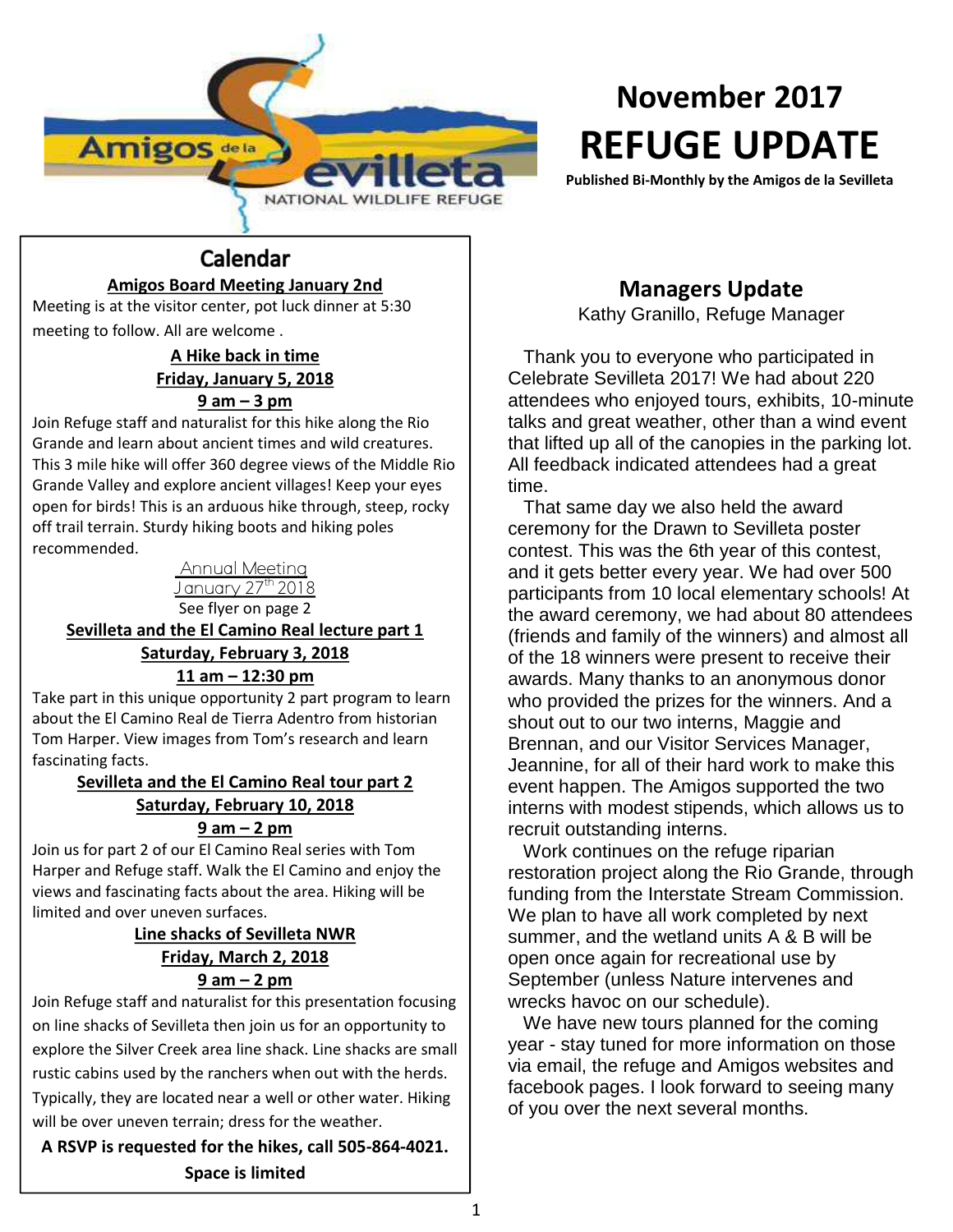

# **November 2017 REFUGE UPDATE**

**Published Bi-Monthly by the Amigos de la Sevilleta**

#### Calendar **Amigos Board Meeting January 2nd**

Meeting is at the visitor center, pot luck dinner at 5:30 meeting to follow. All are welcome .

#### **A Hike back in time Friday, January 5, 2018 9 am – 3 pm**

Join Refuge staff and naturalist for this hike along the Rio Grande and learn about ancient times and wild creatures. This 3 mile hike will offer 360 degree views of the Middle Rio Grande Valley and explore ancient villages! Keep your eyes open for birds! This is an arduous hike through, steep, rocky off trail terrain. Sturdy hiking boots and hiking poles recommended.

> Annual Meeting January 27th 2018 See flyer on page 2

## **Sevilleta and the El Camino Real lecture part 1 Saturday, February 3, 2018 11 am – 12:30 pm**

Take part in this unique opportunity 2 part program to learn about the El Camino Real de Tierra Adentro from historian Tom Harper. View images from Tom's research and learn fascinating facts.

#### **Sevilleta and the El Camino Real tour part 2 Saturday, February 10, 2018 9 am – 2 pm**

Join us for part 2 of our El Camino Real series with Tom Harper and Refuge staff. Walk the El Camino and enjoy the views and fascinating facts about the area. Hiking will be limited and over uneven surfaces.

#### **Line shacks of Sevilleta NWR Friday, March 2, 2018 9 am – 2 pm**

Join Refuge staff and naturalist for this presentation focusing on line shacks of Sevilleta then join us for an opportunity to explore the Silver Creek area line shack. Line shacks are small rustic cabins used by the ranchers when out with the herds. Typically, they are located near a well or other water. Hiking will be over uneven terrain; dress for the weather.

**A RSVP is requested for the hikes, call 505-864-4021. Space is limited**

# **Managers Update**

Kathy Granillo, Refuge Manager

Thank you to everyone who participated in Celebrate Sevilleta 2017! We had about 220 attendees who enjoyed tours, exhibits, 10-minute talks and great weather, other than a wind event that lifted up all of the canopies in the parking lot. All feedback indicated attendees had a great time.

That same day we also held the award ceremony for the Drawn to Sevilleta poster contest. This was the 6th year of this contest, and it gets better every year. We had over 500 participants from 10 local elementary schools! At the award ceremony, we had about 80 attendees (friends and family of the winners) and almost all of the 18 winners were present to receive their awards. Many thanks to an anonymous donor who provided the prizes for the winners. And a shout out to our two interns, Maggie and Brennan, and our Visitor Services Manager, Jeannine, for all of their hard work to make this event happen. The Amigos supported the two interns with modest stipends, which allows us to recruit outstanding interns.

Work continues on the refuge riparian restoration project along the Rio Grande, through funding from the Interstate Stream Commission. We plan to have all work completed by next summer, and the wetland units A & B will be open once again for recreational use by September (unless Nature intervenes and wrecks havoc on our schedule).

We have new tours planned for the coming year - stay tuned for more information on those via email, the refuge and Amigos websites and facebook pages. I look forward to seeing many of you over the next several months.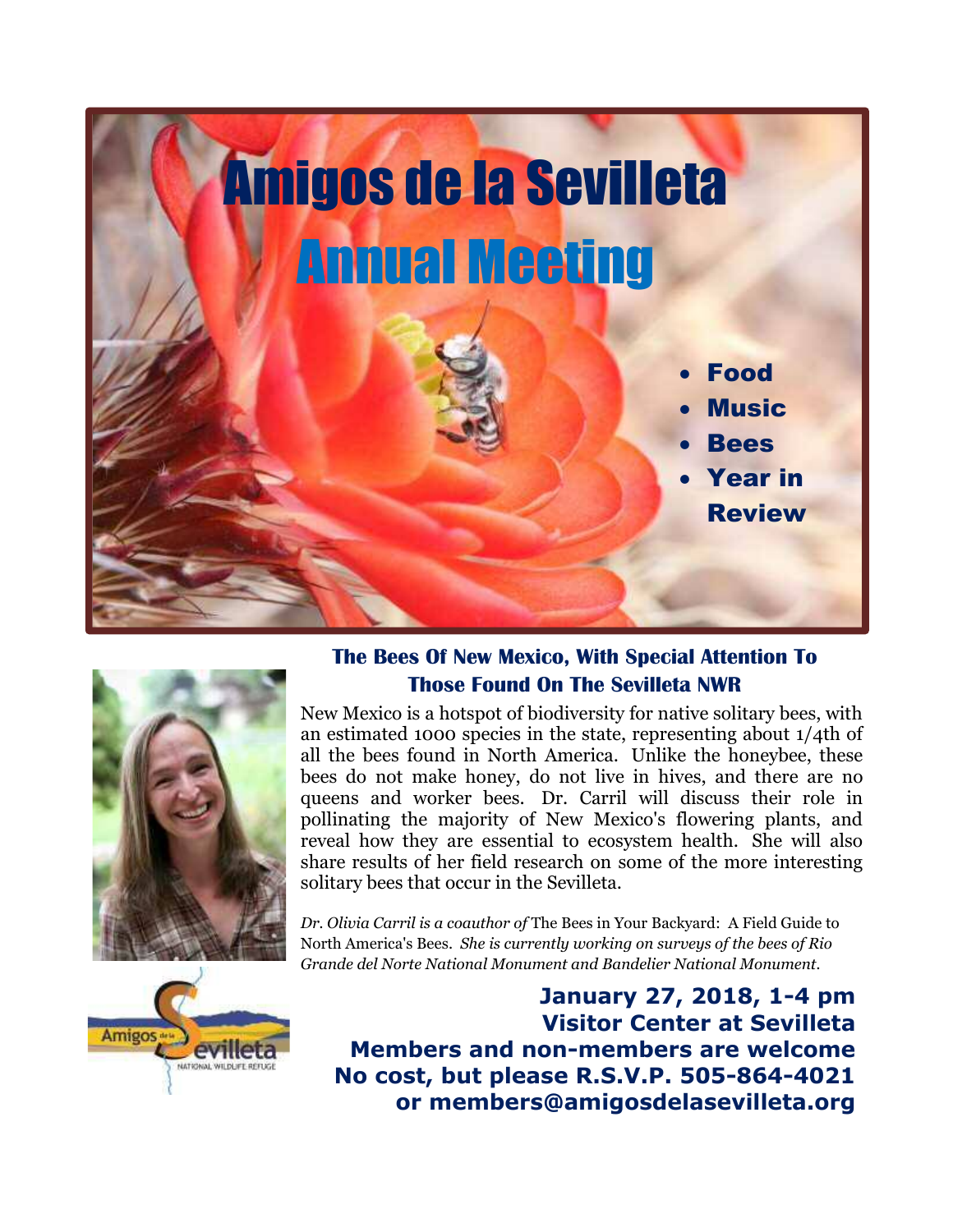



### **The Bees Of New Mexico, With Special Attention To Those Found On The Sevilleta NWR**

New Mexico is a hotspot of biodiversity for native solitary bees, with an estimated 1000 species in the state, representing about 1/4th of all the bees found in North America. Unlike the honeybee, these bees do not make honey, do not live in hives, and there are no queens and worker bees. Dr. Carril will discuss their role in pollinating the majority of New Mexico's flowering plants, and reveal how they are essential to ecosystem health. She will also share results of her field research on some of the more interesting solitary bees that occur in the Sevilleta.

*Dr. Olivia Carril is a coauthor of* The Bees in Your Backyard: A Field Guide to North America's Bees. *She is currently working on surveys of the bees of Rio Grande del Norte National Monument and Bandelier National Monument.*



**January 27, 2018, 1-4 pm Visitor Center at Sevilleta Members and non-members are welcome No cost, but please R.S.V.P. 505-864-4021 or members@amigosdelasevilleta.org**